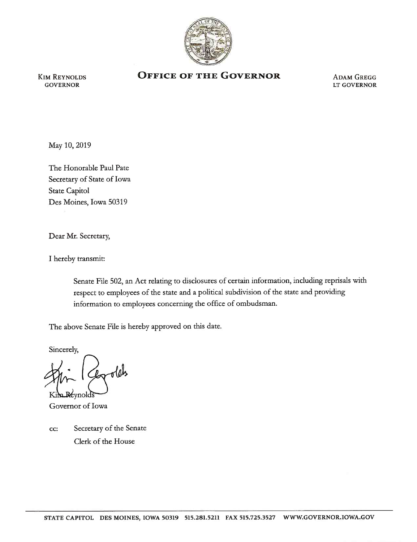

KIM REYNOLDS GOVERNOR

## **OFFICE OF THE GOVERNOR** ADAM GREGG

LT GOVERNOR

May 10, 2019

The Honorable Paul Pate Secretary of State of Iowa State Capitol Des Moines, Iowa 50319

Dear Mr. Secretary,

I hereby transmit:

Senate File 502, an Act relating to disclosures of certain information, including reprisals with respect to employees of the state and a political subdivision of the state and providing information to employees concerning the office of ombudsman.

The above Senate File is hereby approved on this date.

Sincerely,

Kir

~no. 200 million and 200 million and 200 million and 200 million and 200 million and 200 million and 200 million and 200 million and 200 million and 200 million and 200 million and 200 million and 200 million and 200 milli Governor of Iowa

cc: Secretary of the Senate Clerk of the House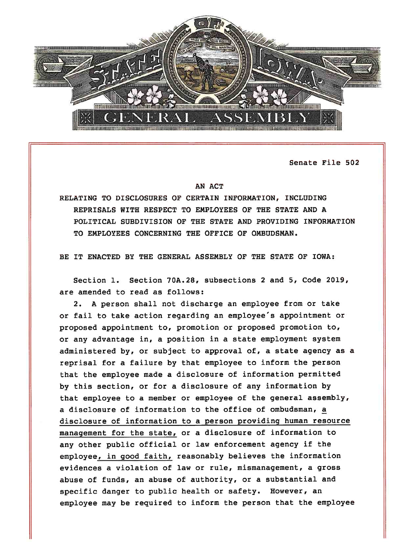

Senate File 502

## AN ACT

RELATING TO DISCLOSURES OF CERTAIN INFORMATION, INCLUDING REPRISALS WITH RESPECT TO EMPLOYEES OF THE STATE AND A POLITICAL SUBDIVISION OF THE STATE AND PROVIDING INFORMATION TO EMPLOYEES CONCERNING THE OFFICE OF OMBUDSMAN.

BE IT ENACTED BY THE GENERAL ASSEMBLY OF THE STATE OF IOWA:

Section 1. Section 70A.28, subsections 2 and 5, Code 2019, are amended to read as follows:

2. A person shall not discharge an employee from or take or fail to take action regarding an employee's appointment or proposed appointment to, promotion or proposed promotion to, or any advantage in, a position in a state employment system administered by, or subject to approval of, a state agency as a reprisal for a failure by that employee to inform the person that the employee made a disclosure of information permitted by this section, or for a disclosure of any information by that employee to a member or employee of the general assembly, a disclosure of information to the office of ombudsman, a disclosure of information to a person providing human resource management for the state, or a disclosure of information to any other public official or law enforcement agency if the employee, in good faith, reasonably believes the information evidences a violation of law or rule, mismanagement, a gross abuse of funds, an abuse of authority, or a substantial and specific danger to public health or safety. However, an employee may be required to inform the person that the employee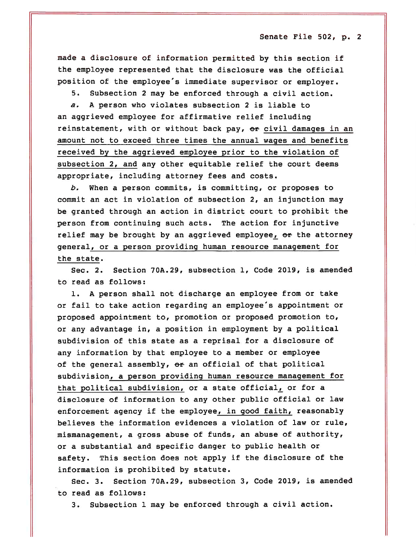Senate File 502, p. 2

made a disclosure of information permitted by this section if the employee represented that the disclosure was the official position of the employee's immediate supervisor or employer.

5. Subsection 2 may be enforced through a civil action.

*a.* A person who violates subsection 2 is liable to an aggrieved employee for affirmative relief including reinstatement, with or without back pay, or civil damages in an amount not to exceed three times the annual wages and benefits received by the aggrieved employee prior to the violation of subsection 2, and any other equitable relief the court deems appropriate, including attorney fees and costs.

*b.* When a person commits, is committing, or proposes to commit an act in violation of subsection 2, an injunction may be granted through an action in district court to prohibit the person from continuing such acts. The action for injunctive relief may be brought by an aggrieved employee,  $\Theta$ r the attorney general, or a person providing human resource management for the state.

Sec. 2. Section 70A.29, subsection 1, Code 2019, is amended to read as follows:

1. A person shall not discharge an employee from or take or fail to take action regarding an employee's appointment or proposed appointment to, promotion or proposed promotion to, or any advantage in, a position in employment by a political subdivision of this state as a reprisal for a disclosure of any information by that employee to a member or employee of the general assembly,  $e^{i}$  an official of that political subdivision, a person providing human resource management for that political subdivision, or a state official, or for a disclosure of information to any other public official or law enforcement agency if the employee, in good faith, reasonably believes the information evidences a violation of law or rule, mismanagement, a gross abuse of funds, an abuse of authority, or a substantial and specific danger to public health or safety. This section does not apply if the disclosure of the information is prohibited by statute.

Sec. 3. Section 70A.29, subsection 3, Code 2019, is amended to read as follows:

3. Subsection 1 may be enforced through a civil action.